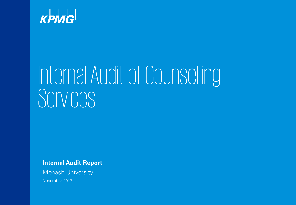

# Internal Audit of Counselling Services<sup>'</sup>

**Internal Audit Report**

Monash University

November 2017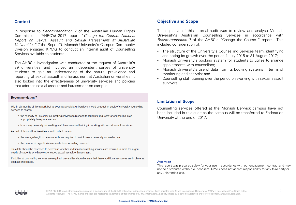#### **Context**

In response to Recommendation 7 of the Australian Human Rights Commission's (AHRC's) 2017 report, "Change the Course: National Report on Sexual Assault and Sexual Harassment at Australian Universities" ("the Report"), Monash University's Campus Community Division engaged KPMG to conduct an internal audit of Counselling Services available to students.

The AHRC's investigation was conducted at the request of Australia's 39 universities, and involved an independent survey of university students to gain an understanding of the nature, prevalence and reporting of sexual assault and harassment at Australian universities. It also looked into the effectiveness of university services and policies that address sexual assault and harassment on campus.

#### **Recommendation 7**

Within six months of this report, but as soon as possible, universities should conduct an audit of university counselling services to assess:

- the capacity of university counselling services to respond to students' requests for counselling in an appropriately timely manner, and
- how many university counselling staff have received training in working with sexual assault survivors.

As part of this audit, universities should collect data on:

- the average length of time students are required to wait to see a university counsellor, and
- the number of urgent/crisis requests for counselling received.

This data should be assessed to determine whether additional counselling services are required to meet the urgent needs of students who have experienced sexual assault or harassment.

If additional counselling services are required, universities should ensure that these additional resources are in place as soon as practicable.

#### **Objective and Scope**

The objective of this internal audit was to review and analyse Monash University's Australian Counselling Services in accordance with Recommendation 7 of the AHRC's "Change the Course " report. This included consideration of:

- The structure of the University's Counselling Services team, identifying and noting its growth over the period 1 July 2015 to 31 August 2017;
- Monash University's booking system for students to utilise to arrange appointments with counsellors;
- Monash University's use of data from its booking systems in terms of monitoring and analysis; and
- Counselling staff training over the period on working with sexual assault survivors.

#### **Limitation of Scope**

Counselling services offered at the Monash Berwick campus have not been included in this audit as the campus will be transferred to Federation University at the end of 2017.

#### **Attention**

This report was prepared solely for your use in accordance with our engagement contract and may not be distributed without our consent. KPMG does not accept responsibility for any third party or any unintended use.

КРМС

© 2017 KPMG, an Australian partnership and a member firm of the KPMG network of independent member firms affiliated with KPMG International Cooperative ("KPMG International"), a Swiss entity.  $2 \frac{1}{2}$ All rights reserved. The KPMG name and logo are registered trademarks or trademarks of KPMG International. Liability limited by a scheme approved under Professional Standards Legislation.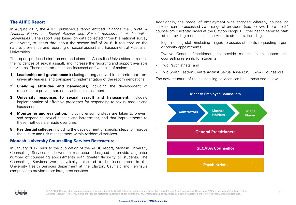#### **The AHRC Report**

In August 2017, the AHRC published a report entitled "Change the Course: A National Report on Sexual Assault and Sexual Harassment at Australian Universities". The report was based on data collected through a national survey of university students throughout the second half of 2016. It focussed on the nature, prevalence and reporting of sexual assault and harassment at Australian **Universities** 

The report produced nine recommendations for Australian Universities to reduce the incidences of sexual assault, and increase the reporting and support available for victims. These recommendations focussed on five areas of action:

- **1) Leadership and governance;** including strong and visible commitment from university leaders, and transparent implementation of the recommendations,
- **2) Changing attitudes and behaviours;** including the development of measures to prevent sexual assault and harassment,
- **3) University responses to sexual assault and harassment;** including implementation of effective processes for responding to sexual assault and harassment,
- **4) Monitoring and evaluation;** including ensuring steps are taken to prevent and respond to sexual assault and harassment, and that improvements to these methods are made over time,
- **5) Residential colleges;** including the development of specific steps to improve the culture and risk management within residential services.

#### **Monash University Counselling Services Restructure**

In January 2017, prior to the publication of the AHRC report, Monash University Counselling Services underwent a restructure designed to provide a greater number of counselling appointments with greater flexibility to students. The Counselling Services were physically relocated to be incorporated in the University Health Services department at the Clayton, Caulfield and Peninsula campuses to provide more integrated services.

Additionally, the model of employment was changed whereby counselling services can be accessed via a range of providers (see below). There are 24 counsellors currently based at the Clayton campus. Other health services staff assist in providing mental health services to students, including:

- Eight nursing staff (including triage), to assess students requesting urgent or priority appointments;
- Twelve General Practitioners, to provide mental health support and counselling referrals for students;
- Two Psychiatrists; and
- Two South Eastern Centre Against Sexual Assault (SECASA) Counsellors.

The new structure of the counselling services can be summarised below:



.

© 2017 KPMG, an Australian partnership and a member firm of the KPMG network of independent member firms affiliated with KPMG International Cooperative ("KPMG International"), a Swiss entity.  $3$ All rights reserved. The KPMG name and logo are registered trademarks or trademarks of KPMG International. Liability limited by a scheme approved under Professional Standards Legislation.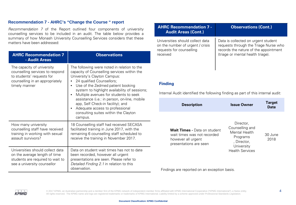#### **Recommendation 7 - AHRC's "Change the Course " report**

Recommendation 7 of the Report outlined four components of univer counselling services to be included in an audit. The table below provide summary of how Monash University Counselling Services considers that matters have been addressed:

| <b>AHRC Recommendation 7</b><br>- Audit Areas                                                                                                  | <b>Observations</b>                                                                                                                                                                                                                                                                                                                                                                                                                                                    |  |
|------------------------------------------------------------------------------------------------------------------------------------------------|------------------------------------------------------------------------------------------------------------------------------------------------------------------------------------------------------------------------------------------------------------------------------------------------------------------------------------------------------------------------------------------------------------------------------------------------------------------------|--|
| The capacity of university<br>counselling services to respond<br>to students' requests for<br>counselling in an appropriately<br>timely manner | The following were noted in relation to the<br>capacity of Counselling services within the<br>University's Clayton Campus:<br>24 qualified Counsellors;<br>Use of the Zedmed patient booking<br>system to highlight availability of sessions;<br>Multiple avenues for students to seek<br>٠<br>assistance (i.e.: in person, on-line, mobile<br>app, Self Check-in facility); and<br>Adequate access to professional<br>consulting suites within the Clayton<br>campus. |  |
| How many university<br>counselling staff have received<br>training in working with sexual<br>assault survivors?                                | 18 Counselling staff had received SECASA<br>facilitated training in June 2017, with the<br>remaining 6 counselling staff scheduled to<br>receive the training in November 2017.                                                                                                                                                                                                                                                                                        |  |
| Universities should collect data<br>on the average length of time<br>students are required to wait to<br>see a university counsellor           | Data on student wait times has not to date<br>been recorded, however all urgent<br>presentations are seen. Please refer to<br>Detailed Finding 2.1 in relation to this<br>observation.                                                                                                                                                                                                                                                                                 |  |

| ersitv<br>des a                 | <b>Observations (Cont.)</b><br><b>AHRC Recommendation 7 -</b><br><b>Audit Areas (Cont.)</b>                        |                                                                                                                                                            |  |  |  |
|---------------------------------|--------------------------------------------------------------------------------------------------------------------|------------------------------------------------------------------------------------------------------------------------------------------------------------|--|--|--|
| these                           | Universities should collect data<br>on the number of urgent / crisis<br>requests for counselling<br>received       | Data is collected on urgent student<br>requests through the Triage Nurse who<br>records the nature of the appointment<br>(triage or mental health triage). |  |  |  |
| o the<br>n the                  |                                                                                                                    |                                                                                                                                                            |  |  |  |
| essions;<br>eek                 | <b>Finding</b><br>Internal Audit identified the following finding as part of this internal audit:                  |                                                                                                                                                            |  |  |  |
| mobile                          | <b>Description</b>                                                                                                 | <b>Target</b><br><b>Issue Owner</b><br><b>Date</b>                                                                                                         |  |  |  |
| n<br>CASA<br>the<br>ed to<br>7. | <b>Wait Times - Data on student</b><br>wait times was not recorded<br>however all urgent<br>presentations are seen | Director,<br>Counselling and<br>Mental Health<br>30 June<br>Programs<br>2018<br>, Director,                                                                |  |  |  |

University Health Services

Findings are reported on an exception basis.



© 2017 KPMG, an Australian partnership and a member firm of the KPMG network of independent member firms affiliated with KPMG International Cooperative ("KPMG International"), a Swiss entity.  $4$ All rights reserved. The KPMG name and logo are registered trademarks or trademarks of KPMG International. Liability limited by a scheme approved under Professional Standards Legislation.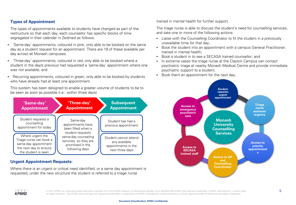#### **Types of Appointment**

The types of appointments available to students have changed as part of the restructure so that each day, each counsellor has specific blocks of time segregated in their calendar in Zedmed as follows:

- 'Same-day' appointments, coloured in pink, only able to be booked on the same day as a student request for an appointment. There are 19 of these available per day across all Monash campuses.
- 'Three-day' appointments, coloured in red, only able to be booked where a student in the day/s previous had requested a 'same-day' appointment where one was not available; and
- Recurring appointments, coloured in green, only able to be booked by students who have already had at least one appointment.

This system has been designed to enable a greater volume of students to be to be seen as soon as possible (i.e.: within three days).



#### **Urgent Appointment Requests:**

Where there is an urgent or critical need identified, or a same day appointment is requested, under the new structure the student is referred to a triage nurse

trained in mental health for further support.

The triage nurse is able to discuss the student's need for counselling services, and take one or more of the following actions:

- Liaise with the Counselling Coordinator to fit the student in a previously unavailable time for that day;
- Book the student into an appointment with a campus General Practitioner, trained in mental health;
- Book a student in to see a SECASA trained counsellor; and
- In extreme cases the triage nurse at the Clayton Campus can contact psychiatric triage at nearby Monash Medical Centre and provide immediate psychiatric support to a student.
- Book them an appointment for the next day;





© 2017 KPMG, an Australian partnership and a member firm of the KPMG network of independent member firms affiliated with KPMG International Cooperative ("KPMG International"), a Swiss entity.  $5$ All rights reserved. The KPMG name and logo are registered trademarks or trademarks of KPMG International. Liability limited by a scheme approved under Professional Standards Legislation.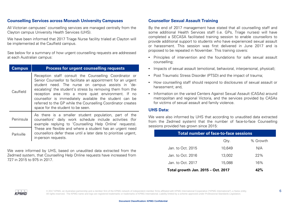#### **Counselling Services across Monash University Campuses**

All Victorian campuses' counselling services are managed centrally from the Clayton campus University Health Services (UHS).

We have been informed that 2017 Triage Nurse facility trialed at Clayton will be implemented at the Caulfield campus.

See below for a summary of how urgent counselling requests are addressed at each Australian campus:

| <b>Campus</b> | <b>Process for urgent counselling requests</b>                                                                                                                                                                                                                                                                                                                                                                                                                  |  |  |
|---------------|-----------------------------------------------------------------------------------------------------------------------------------------------------------------------------------------------------------------------------------------------------------------------------------------------------------------------------------------------------------------------------------------------------------------------------------------------------------------|--|--|
| Caulfield     | Reception staff consult the Counselling Coordinator or<br>Senior Counsellor to facilitate an appointment for an urgent<br>student need. The nurse on campus assists in 'de-<br>escalating' the student's stress by removing them from the<br>reception area into a more quiet environment. If no<br>counsellor is immediately available the student can be<br>referred to the GP while the Counselling Coordinator creates<br>space for the student to be seen. |  |  |
| Peninsula     | As there is a smaller student population, part of the<br>counsellors' daily work schedule include activities (for<br>example replying to 'Counselling Help Online' requests).<br>These are flexible and where a student has an urgent need<br>counsellors defer these until a later date to prioritise urgent,<br>in-person requests.                                                                                                                           |  |  |
| Parkville     |                                                                                                                                                                                                                                                                                                                                                                                                                                                                 |  |  |

We were informed by UHS, based on unaudited data extracted from the Zedmed system, that Counselling Help Online requests have increased from 727 in 2015 to 975 in 2017.

#### **Counsellor Sexual Assault Training**

By the end of 2017 management have stated that all counselling staff and some additional Health Services staff (i.e. GPs, Triage nurses) will have completed a SECASA facilitated training session to enable counsellors to provide additional support to students who have experienced sexual assault or harassment. This session was first delivered in June 2017 and is proposed to be repeated in November. This training covers:

- Principles of intervention and the foundations for safe sexual assault counselling;
- Impacts of sexual assault (emotional, behavioral, interpersonal, physical);
- Post Traumatic Stress Disorder (PTSD) and the impact of trauma;
- How counselling staff should respond to disclosures of sexual assault or harassment; and,
- Information on the varied Centers Against Sexual Assault (CASAs) around metropolitan and regional Victoria, and the services provided by CASAs for victims of sexual assault and family violence.

#### **UHS Data:**

We were also informed by UHS that according to unaudited data extracted from the Zedmed system) that the number of face-to-face Counselling sessions provided has grown since 2015:

| <b>Total number of face-to-face sessions</b> |        |          |  |  |
|----------------------------------------------|--------|----------|--|--|
|                                              | Qty.   | % Growth |  |  |
| Jan. to Oct. 2015                            | 10.649 | N/A      |  |  |
| Jan. to Oct. 2016                            | 13.002 | 22%      |  |  |
| Jan. to Oct. 2017                            | 15.088 | 16%      |  |  |
| Total growth Jan. 2015 - Oct. 2017           | 42%    |          |  |  |

© 2017 KPMG, an Australian partnership and a member firm of the KPMG network of independent member firms affiliated with KPMG International Cooperative ("KPMG International"), a Swiss entity. 6 All rights reserved. The KPMG name and logo are registered trademarks or trademarks of KPMG International. Liability limited by a scheme approved under Professional Standards Legislation.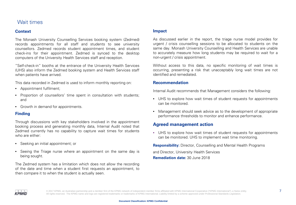### Wait times

#### **Context**

The Monash University Counselling Services booking system (Zedmed) records appointments for all staff and students to see university counsellors. Zedmed records student appointment times, and student check-ins for their appointment. Zedmed is synced to the desktop computers of the University Health Services staff and reception.

"Self-check-in" booths at the entrance of the University Health Services (UHS) also inform the Zedmed booking system and Health Services staff when patients have arrived.

This data recorded in Zedmed is used to inform monthly reporting on:

- Appointment fulfilment;
- Proportion of counsellors' time spent in consultation with students; and
- Growth in demand for appointments.

#### **Finding**

Through discussions with key stakeholders involved in the appointment booking process and generating monthly data, Internal Audit noted that Zedmed currently has no capability to capture wait times for students who are either:

- Seeking an initial appointment; or
- Seeing the Triage nurse where an appointment on the same day is being sought.

The Zedmed system has a limitation which does not allow the recording of the date and time when a student first requests an appointment, to then compare it to when the student is actually seen.

#### **Impact**

As discussed earlier in the report, the triage nurse model provides for urgent / crisis counselling sessions to be allocated to students on the same day. Monash University Counselling and Health Services are unable to accurately measure how long students may be required to wait for a non-urgent / crisis appointment.

Without access to this data, no specific monitoring of wait times is occurring, presenting a risk that unacceptably long wait times are not identified and remediated.

#### **Recommendation**

Internal Audit recommends that Management considers the following:

- UHS to explore how wait times of student requests for appointments can be monitored.
- Management should seek advice as to the development of appropriate performance thresholds to monitor and enhance performance.

#### **Agreed management action**

• UHS to explore how wait times of student requests for appointments can be monitored. UHS to implement wait time monitoring.

**Responsibility:** Director, Counselling and Mental Health Programs

and Director, University Health Services **Remediation date:** 30 June 2018



© 2017 KPMG, an Australian partnership and a member firm of the KPMG network of independent member firms affiliated with KPMG International Cooperative ("KPMG International"), a Swiss entity.  $\overline{7}$ All rights reserved. The KPMG name and logo are registered trademarks or trademarks of KPMG International. Liability limited by a scheme approved under Professional Standards Legislation.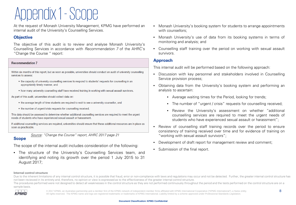### Appendix 1 -Scope

At the request of Monash University Management, KPMG have performed an internal audit of the University's Counselling Services.

#### **Objective**

The objective of this audit is to review and analyse Monash University's Counselling Services in accordance with Recommendation 7 of the AHRC's "Change the Course " report:

#### **Recommendation 7**

Within six months of this report, but as soon as possible, universities should conduct an audit of university counselling services to assess:

- the capacity of university counselling services to respond to students' requests for counselling in an appropriately timely manner, and
- how many university counselling staff have received training in working with sexual assault survivors.

As part of this audit, universities should collect data on:

- the average length of time students are required to wait to see a university counsellor, and
- the number of urgent/crisis requests for counselling received.

This data should be assessed to determine whether additional counselling services are required to meet the urgent needs of students who have experienced sexual assault or harassment.

If additional counselling services are required, universities should ensure that these additional resources are in place as soon as practicable.

Source: "Change the Course" report, AHRC 2017 page 21

#### **Scope**

The scope of the internal audit includes consideration of the following:

• The structure of the University's Counselling Services team, and identifying and noting its growth over the period 1 July 2015 to 31 August 2017;

- Monash University's booking system for students to arrange appointments with counsellors;
- Monash University's use of data from its booking systems in terms of monitoring and analysis; and
- Counselling staff training over the period on working with sexual assault survivors.

#### **Approach**

This internal audit will be performed based on the following approach:

- Discussion with key personnel and stakeholders involved in Counselling Service provision process;
- Obtaining data from the University's booking system and performing an analysis to ascertain:
	- Average waiting times for the Period, looking for trends;
	- The number of "urgent / crisis" requests for counselling received;
	- Review the University's assessment on whether "additional counselling services are required to meet the urgent needs of students who have experienced sexual assault or harassment";
- Review of counselling staff training records over the period to ensure consistency of training received over time and for evidence of training on "working with sexual assault survivors";
- Development of draft report for management review and comment;
- Submission of the final report.

#### **Internal control structure**

Due to the inherent limitations of any internal control structure, it is possible that fraud, error or non-compliance with laws and regulations may occur and not be detected. Further, the greater internal control structure not been reviewed in its entirety and, therefore, no opinion or view is expressed as to the effectiveness of the greater internal control structure. The procedures performed were not designed to detect all weaknesses in the control structure as they are not performed continuously throughout the period and the tests performed on the control structure are on a sample basis.



© 2017 KPMG, an Australian partnership and a member firm of the KPMG network of independent member firms affiliated with KPMG International Cooperative ("KPMG International"), a Swiss entity.  $8$ All rights reserved. The KPMG name and logo are registered trademarks or trademarks of KPMG International. Liability limited by a scheme approved under Professional Standards Legislation.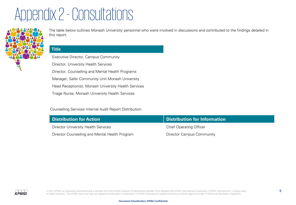## Appendix 2 -Consultations



The table below outlines Monash University personnel who were involved in discussions and contributed to the findings detailed in this report.

#### **Title**

Executive Director, Campus Community Director, University Health Services Director, Counselling and Mental Health Programs Manager, Safer Community Unit Monash University Head Receptionist, Monash University Health Services Triage Nurse, Monash University Health Services

#### Counselling Services Internal Audit Report Distribution:

| <b>Distribution for Action</b>                 | Distribution for Information   |
|------------------------------------------------|--------------------------------|
| Director University Health Services            | <b>Chief Operating Officer</b> |
| Director Counselling and Mental Health Program | Director Campus Community      |

 $\circ$  2017 KPMG, an Australian partnership and a member firm of the KPMG network of independent member firms affiliated with KPMG International Cooperative ("KPMG International"), a Swiss entity. All rights reserved. The KPMG name and logo are registered trademarks or trademarks of KPMG International. Liability limited by a scheme approved under Professional Standards Legislation.